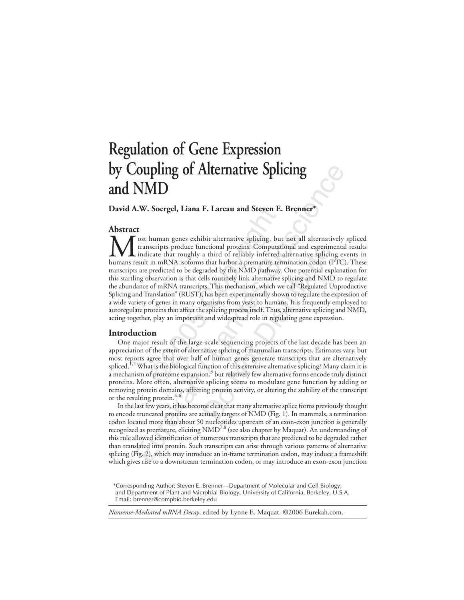# **Regulation of Gene Expression by Coupling of Alternative Splicing and NMD**

**David A.W. Soergel, Liana F. Lareau and Steven E. Brenner\***

# **Abstract**

**. Soergel, Liana F. Lareau and Steven** I<br>human genes exhibit alternative splicing, b<br>socripts produce functional proteins. Comput<br>icate that roughly a third of reliably inferree<br>in mRNA isoforms that harbor a premature t **COLUTIFY OF ALTERNATIVE Splicing**<br>
Somewhere a complementary of the product and state of the production and state<br>
and the production of the product in the product of the product in the state of the product in the state notional proteins. Computational and experim<br>a third of reliably inferred alternative splicit<br>s that harbor a premature termination codon (I<br>raded by the NMD pathway. One potential explise<br>tills routinely link alternative **M** ost human genes exhibit alternative splicing, but not all alternatively spliced transcripts produce functional proteins. Computational and experimental results indicate that roughly a third of reliably inferred alterna transcripts produce functional proteins. Computational and experimental results indicate that roughly a third of reliably inferred alternative splicing events in humans result in mRNA isoforms that harbor a premature termination codon (PTC). These transcripts are predicted to be degraded by the NMD pathway. One potential explanation for this startling observation is that cells routinely link alternative splicing and NMD to regulate the abundance of mRNA transcripts. This mechanism, which we call "Regulated Unproductive Splicing and Translation" (RUST), has been experimentally shown to regulate the expression of a wide variety of genes in many organisms from yeast to humans. It is frequently employed to autoregulate proteins that affect the splicing process itself. Thus, alternative splicing and NMD, acting together, play an important and widespread role in regulating gene expression.

## **Introduction**

One major result of the large-scale sequencing projects of the last decade has been an appreciation of the extent of alternative splicing of mammalian transcripts. Estimates vary, but most reports agree that over half of human genes generate transcripts that are alternatively spliced.<sup>1,2</sup> What is the biological function of this extensive alternative splicing? Many claim it is a mechanism of proteome expansion, $^3$  but relatively few alternative forms encode truly distinct proteins. More often, alternative splicing seems to modulate gene function by adding or removing protein domains, affecting protein activity, or altering the stability of the transcript or the resulting protein. $4-6$ 

In the last few years, it has become clear that many alternative splice forms previously thought to encode truncated proteins are actually targets of NMD (Fig. 1). In mammals, a termination codon located more than about 50 nucleotides upstream of an exon-exon junction is generally recognized as premature, eliciting  $NMD^{7,8}$  (see also chapter by Maquat). An understanding of this rule allowed identification of numerous transcripts that are predicted to be degraded rather than translated into protein. Such transcripts can arise through various patterns of alternative splicing (Fig. 2), which may introduce an in-frame termination codon, may induce a frameshift which gives rise to a downstream termination codon, or may introduce an exon-exon junction

#### *Nonsense-Mediated mRNA Decay*, edited by Lynne E. Maquat. ©2006 Eurekah.com.

<sup>\*</sup>Corresponding Author: Steven E. Brenner—Department of Molecular and Cell Biology, and Department of Plant and Microbial Biology, University of California, Berkeley, U.S.A. Email: brenner@compbio.berkeley.edu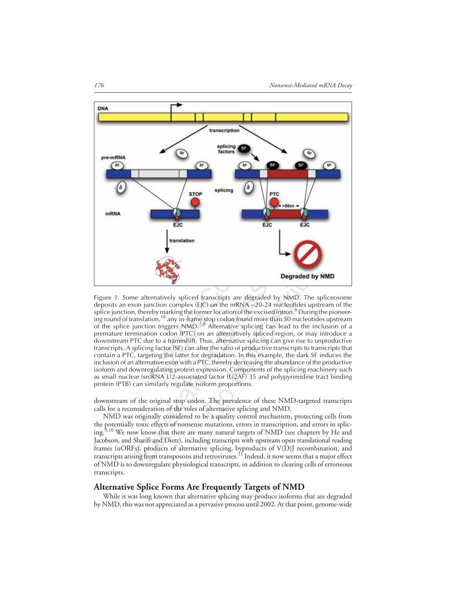

ELECTRIC<br>
ELECTRIC<br>
Translation<br>
Translation<br>
Translation<br>
Translation<br>
Translation<br>
The metal of the mRNA ~20-24 n<br>
reby marking the former location of the excised<br>
ion triggers NMD.<sup>7,8</sup> Alternative splicing can<br>
ion rig **Degraded by NML**<br> **Degraded by NMD**. The splice<br>
C) on the mRNA ~20-24 nucleotides upstream<br>
mer location of the excised intron.<sup>8</sup> During the p<br>
stop codon found more than 50 nucleotides up<br>
<sup>8</sup> Alternative splicing can Figure 1. Some alternatively spliced transcripts are degraded by NMD. The spliceosome deposits an exon junction complex (EJC) on the mRNA ~20-24 nucleotides upstream of the splice junction, thereby marking the former location of the excised intron.<sup>8</sup> During the pioneering round of translation,18 any in-frame stop codon found more than 50 nucleotides upstream of the splice junction triggers NMD.<sup>7,8</sup> Alternative splicing can lead to the inclusion of a premature termination codon (PTC) on an alternatively spliced region, or may introduce a downstream PTC due to a frameshift. Thus, alternative splicing can give rise to unproductive transcripts. A splicing factor (SF) can alter the ratio of productive transcripts to transcripts that contain a PTC, targeting the latter for degradation. In this example, the dark SF induces the inclusion of an alternative exon with a PTC, thereby decreasing the abundance of the productive isoform and downregulating protein expression. Components of the splicing machinery such as small nuclear (sn)RNA U2-associated factor (U2AF) 35 and polypyrimidine tract binding protein (PTB) can similarly regulate isoform proportions.

downstream of the original stop codon. The prevalence of these NMD-targeted transcripts calls for a reconsideration of the roles of alternative splicing and NMD.

NMD was originally considered to be a quality control mechanism, protecting cells from the potentially toxic effects of nonsense mutations, errors in transcription, and errors in splicing.<sup>9,10</sup> We now know that there are many natural targets of NMD (see chapters by He and Jacobson, and Sharifi and Dietz), including transcripts with upstream open translational reading frames (uORFs), products of alternative splicing, byproducts of V(D)J recombination, and transcripts arising from transposons and retroviruses. <sup>11</sup> Indeed, it now seems that a major effect of NMD is to downregulate physiological transcripts, in addition to clearing cells of erroneous transcripts.

## **Alternative Splice Forms Are Frequently Targets of NMD**

While it was long known that alternative splicing may produce isoforms that are degraded by NMD, this was not appreciated as a pervasive process until 2002. At that point, genome-wide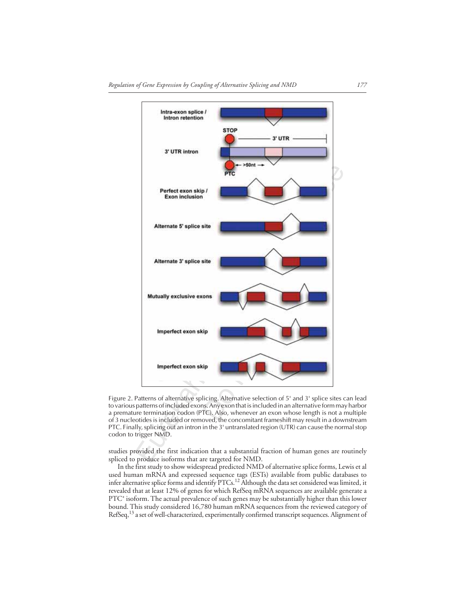

Figure 2. Patterns of alternative splicing. Alternative selection of 5' and 3' splice sites can lead to various patterns of included exons. Any exon that is included in an alternative form may harbor a premature termination codon (PTC). Also, whenever an exon whose length is not a multiple of 3 nucleotides is included or removed, the concomitant frameshift may result in a downstream PTC. Finally, splicing out an intron in the 3' untranslated region (UTR) can cause the normal stop codon to trigger NMD.

studies provided the first indication that a substantial fraction of human genes are routinely spliced to produce isoforms that are targeted for NMD.

In the first study to show widespread predicted NMD of alternative splice forms, Lewis et al used human mRNA and expressed sequence tags (ESTs) available from public databases to infer alternative splice forms and identify  $\rm{PTCs.}^{12}$  Although the data set considered was limited, it revealed that at least 12% of genes for which RefSeq mRNA sequences are available generate a PTC+ isoform. The actual prevalence of such genes may be substantially higher than this lower bound. This study considered 16,780 human mRNA sequences from the reviewed category of RefSeq,<sup>13</sup> a set of well-characterized, experimentally confirmed transcript sequences. Alignment of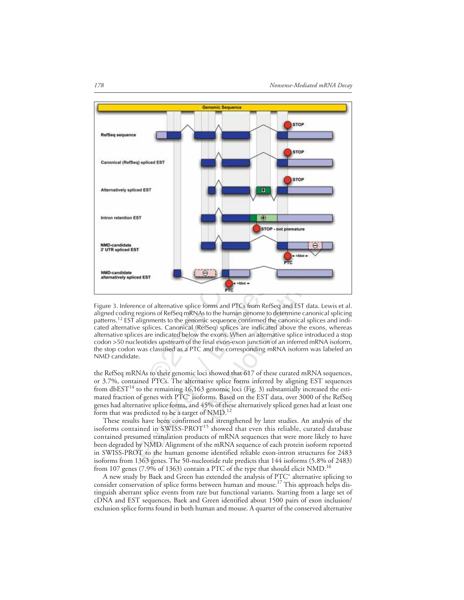

Figure 3. Inference of alternative splice forms and PTCs from RefSeq and EST data. Lewis et al. aligned coding regions of RefSeq mRNAs to the human genome to determine canonical splicing patterns.<sup>12</sup> EST alignments to the genomic sequence confirmed the canonical splices and indicated alternative splices. Canonical (RefSeq) splices are indicated above the exons, whereas alternative splices are indicated below the exons. When an alternative splice introduced a stop codon >50 nucleotides upstream of the final exon-exon junction of an inferred mRNA isoform, the stop codon was classified as a PTC and the corresponding mRNA isoform was labeled an NMD candidate.

the RefSeq mRNAs to their genomic loci showed that 617 of these curated mRNA sequences, or 3.7%, contained PTCs. The alternative splice forms inferred by aligning EST sequences from  $\text{dbEST}^{14}$  to the remaining 16,163 genomic loci (Fig. 3) substantially increased the estimated fraction of genes with PTC<sup>+</sup> isoforms. Based on the EST data, over 3000 of the RefSeq genes had alternative splice forms, and 45% of these alternatively spliced genes had at least one form that was predicted to be a target of NMD.<sup>12</sup>

These results have been confirmed and strengthened by later studies. An analysis of the isoforms contained in SWISS-PROT<sup>15</sup> showed that even this reliable, curated database contained presumed translation products of mRNA sequences that were more likely to have been degraded by NMD. Alignment of the mRNA sequence of each protein isoform reported in SWISS-PROT to the human genome identified reliable exon-intron structures for 2483 isoforms from 1363 genes. The 50-nucleotide rule predicts that 144 isoforms (5.8% of 2483) from 107 genes (7.9% of 1363) contain a PTC of the type that should elicit NMD.<sup>16</sup>

A new study by Baek and Green has extended the analysis of PTC+ alternative splicing to consider conservation of splice forms between human and mouse.<sup>17</sup> This approach helps distinguish aberrant splice events from rare but functional variants. Starting from a large set of cDNA and EST sequences, Baek and Green identified about 1500 pairs of exon inclusion/ exclusion splice forms found in both human and mouse. A quarter of the conserved alternative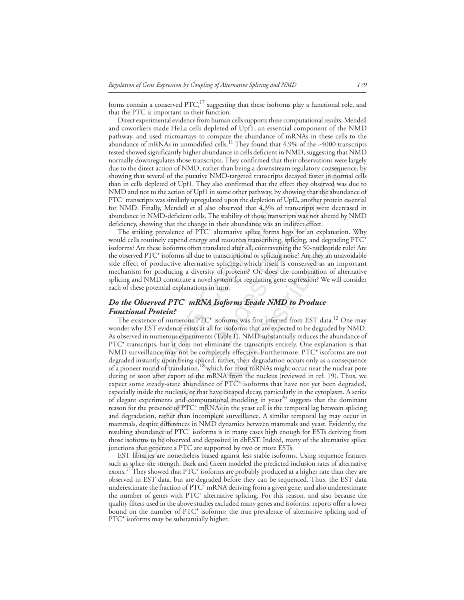forms contain a conserved  $\text{PTC}$ ,<sup>17</sup> suggesting that these isoforms play a functional role, and that the PTC is important to their function.

Direct experimental evidence from human cells supports these computational results. Mendell and coworkers made HeLa cells depleted of Upf1, an essential component of the NMD pathway, and used microarrays to compare the abundance of mRNAs in these cells to the abundance of mRNAs in unmodified cells.<sup>11</sup> They found that 4.9% of the  $-4000$  transcripts tested showed significantly higher abundance in cells deficient in NMD, suggesting that NMD normally downregulates those transcripts. They confirmed that their observations were largely due to the direct action of NMD, rather than being a downstream regulatory consequence, by showing that several of the putative NMD-targeted transcripts decayed faster in normal cells than in cells depleted of Upf1. They also confirmed that the effect they observed was due to NMD and not to the action of Upf1 in some other pathway, by showing that the abundance of PTC+ transcripts was similarly upregulated upon the depletion of Upf2, another protein essential for NMD. Finally, Mendell et al also observed that 4.3% of transcripts were decreased in abundance in NMD-deficient cells. The stability of those transcripts was not altered by NMD deficiency, showing that the change in their abundance was an indirect effect.

The striking prevalence of PTC<sup>+</sup> alternative splice forms begs for an explanation. Why would cells routinely expend energy and resources transcribing, splicing, and degrading PTC<sup>+</sup> isoforms? Are these isoforms often translated after all, contravening the 50-nucleotide rule? Are the observed PTC<sup>+</sup> isoforms all due to transcriptional or splicing noise? Are they an unavoidable side effect of productive alternative splicing, which itself is conserved as an important mechanism for producing a diversity of proteins? Or, does the combination of alternative splicing and NMD constitute a novel system for regulating gene expression? We will consider each of these potential explanations in turn.

# *Do the Observed PTC<sup>+</sup> mRNA Isoforms Evade NMD to Produce Functional Protein?*

nally, Mendell et al also observed that 4.3%<br>NMD-deficient cells. The stability of those trar<br>wwing that the change in their abundance was a<br>g prevalence of PTC<sup>+</sup> alternative splice form<br>utinely expend energy and resource direct cation of NMD, rather than being a downstream regulatory consequents<br>that several of the putative NMD-targeted transcripts decayed faster in norm of the advant of the putative NMD-targeted transcripts and stoched a translated after all, contravening the 50-nucleot<br>to transcriptional or splicing noise? Are they an<br>tive splicing, which itself is conserved as at<br>rsity of proteins? Or, does the combination o<br>ovel system for regulating g The existence of numerous PTC<sup>+</sup> isoforms was first inferred from EST data.<sup>12</sup> One may wonder why EST evidence exists at all for isoforms that are expected to be degraded by NMD. As observed in numerous experiments (Table 1), NMD substantially reduces the abundance of PTC<sup>+</sup> transcripts, but it does not eliminate the transcripts entirely. One explanation is that NMD surveillance may not be completely effective. Furthermore, PTC<sup>+</sup> isoforms are not degraded instantly upon being spliced; rather, their degradation occurs only as a consequence of a pioneer round of translation,<sup>18</sup> which for most mRNAs might occur near the nuclear pore during or soon after export of the mRNA from the nucleus (reviewed in ref. 19). Thus, we expect some steady-state abundance of PTC<sup>+</sup> isoforms that have not yet been degraded, especially inside the nucleus, or that have escaped decay, particularly in the cytoplasm. A series of elegant experiments and computational modeling in yeast<sup>20</sup> suggests that the dominant reason for the presence of PTC<sup>+</sup> mRNAs in the yeast cell is the temporal lag between splicing and degradation, rather than incomplete surveillance. A similar temporal lag may occur in mammals, despite differences in NMD dynamics between mammals and yeast. Evidently, the resulting abundance of PTC+ isoforms is in many cases high enough for ESTs deriving from those isoforms to be observed and deposited in dbEST. Indeed, many of the alternative splice junctions that generate a PTC are supported by two or more ESTs.

EST libraries are nonetheless biased against less stable isoforms. Using sequence features such as splice-site strength, Baek and Green modeled the predicted inclusion rates of alternative exons.<sup>17</sup> They showed that PTC<sup>+</sup> isoforms are probably produced at a higher rate than they are observed in EST data, but are degraded before they can be sequenced. Thus, the EST data underestimate the fraction of PTC<sup>+</sup> mRNA deriving from a given gene, and also underestimate the number of genes with PTC<sup>+</sup> alternative splicing. For this reason, and also because the quality filters used in the above studies excluded many genes and isoforms, reports offer a lower bound on the number of PTC<sup>+</sup> isoforms; the true prevalence of alternative splicing and of PTC<sup>+</sup> isoforms may be substantially higher.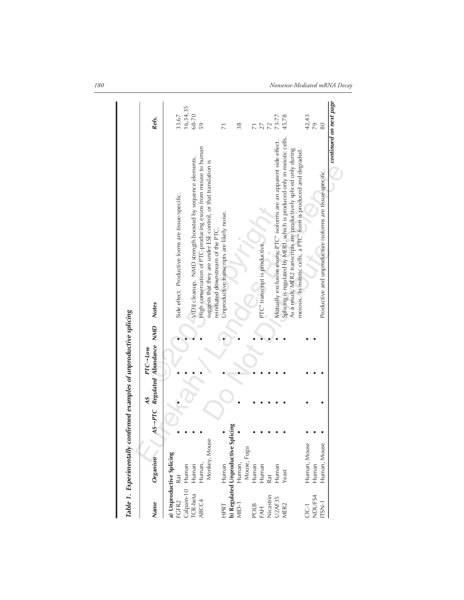|                          | Table 1. Experimentally confirmed examples of unproductive splicing |       |    |                                                  |                                                                                                                                                                                                                              |                        |
|--------------------------|---------------------------------------------------------------------|-------|----|--------------------------------------------------|------------------------------------------------------------------------------------------------------------------------------------------------------------------------------------------------------------------------------|------------------------|
| Name                     | Organism                                                            |       | AS | AS-PTC Regulated Abundance NMD Notes<br>PTC--Low |                                                                                                                                                                                                                              | Refs.                  |
| Calpain-10<br>FGFR2      | a) Unproductive Splicing<br>Human<br>Rat                            |       |    |                                                  | Side effect. Productive forms are tissue-specific.                                                                                                                                                                           | 16,34,35<br>33,67      |
| <b>TCR-beta</b><br>ABCC4 | Human,<br>Human                                                     |       |    |                                                  | High conservation of PTC-producing exons from mouse to human<br>V(D)) cleanup. NMD strength boosted by sequence elements.                                                                                                    | 68-70<br>59            |
|                          | Monkey, Mouse                                                       |       |    |                                                  | suggests that they are under ESE control, or that translation is<br>reinitiated downstream of the PTC.                                                                                                                       |                        |
| HPRT                     | Human                                                               |       |    |                                                  | Unproductive transcripts are likely noise.                                                                                                                                                                                   | π                      |
|                          | b) Regulated Unproductive Spli<br>MID-1<br>Human,                   | icing |    |                                                  |                                                                                                                                                                                                                              | 38                     |
| <b>POLB</b>              | Mouse, Fugu<br>Human                                                |       |    |                                                  |                                                                                                                                                                                                                              |                        |
| FAH<br>Nicastrin         | Human                                                               |       |    |                                                  | PTC <sup>+</sup> transcript is productive.                                                                                                                                                                                   | 27                     |
|                          | Rat                                                                 |       |    |                                                  |                                                                                                                                                                                                                              | 72                     |
| <b>U2AF35</b>            | Human                                                               |       |    |                                                  | Mutually exclusive exons; PTC <sup>+</sup> isoforms are an apparent side effect.                                                                                                                                             | 73-77                  |
| VIER <sub>2</sub>        | Yeast                                                               |       |    |                                                  | Splicing is regulated by MER1, which is produced only in meiotic cells.<br>As a result, MER2 transcripts are productively spliced only during<br>meiosis. In mitotic cells, a PTC <sup>+</sup> form is produced and degraded | 45,78                  |
| NDUFS4<br>C-1            | Human, Mouse<br>Human                                               |       |    |                                                  |                                                                                                                                                                                                                              | 42,43<br>79            |
| TSN-1                    | Human, Mouse                                                        |       |    |                                                  | Productive and unproductive isoforms are tissue-specific.                                                                                                                                                                    | 80                     |
|                          |                                                                     |       |    |                                                  |                                                                                                                                                                                                                              | continued on next page |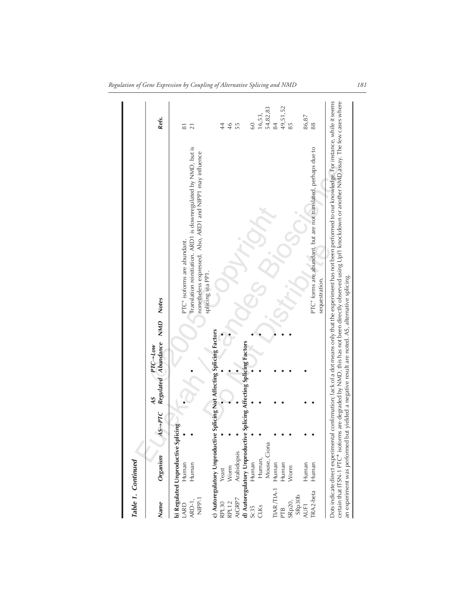| Table 1. Continued         |                                                                                                        |          |                                                  |                                                                                                                                                                                                                                                                                                                                 |                                           |
|----------------------------|--------------------------------------------------------------------------------------------------------|----------|--------------------------------------------------|---------------------------------------------------------------------------------------------------------------------------------------------------------------------------------------------------------------------------------------------------------------------------------------------------------------------------------|-------------------------------------------|
| Name                       | Organism                                                                                               | $AS-PTC$ | Regulated Abundance NMD<br>$PTC \rightarrow low$ | <b>Notes</b>                                                                                                                                                                                                                                                                                                                    | Refs.                                     |
| NIPP-1<br>ARD-1,<br>LARD   | b) Regulated Unproductive Splicing<br>Human<br>Human                                                   |          |                                                  | Translation reinitiation. ARD1 is downregulated by NMD, but is<br>nonetheless expressed. Also, ARD1 and NIPP1 may influence<br>PTC <sup>+</sup> isoforms are abundant.<br>splicing via PP1.                                                                                                                                     | $\overline{8}$<br>$\overline{21}$         |
| AtGRP7<br>RPL30<br>RPL12   | c) Autoregulatory Unproductive Splicing Not Affecting Splicing Factors<br>Arabidopsis<br>Worm<br>Yeast |          |                                                  |                                                                                                                                                                                                                                                                                                                                 | 46<br>$\overline{4}$<br>55                |
| TIAR/TIA-1<br>Sc35<br>CLKs | d) Autoregulatory Unproduct<br>Mouse, Ciona<br>Human,<br>Human<br>Human                                |          | ive Splicing Affecting Splicing Factors          |                                                                                                                                                                                                                                                                                                                                 | 54,82,83<br>16,53,<br>84<br>$\mathcal{S}$ |
| SRp30b<br>SRp20,<br>PTB    | Human<br>Worm                                                                                          |          |                                                  |                                                                                                                                                                                                                                                                                                                                 | 49,51,52<br>85                            |
| <b>TRA2-beta</b><br>AUF1   | Human<br>Human                                                                                         |          |                                                  | PTC <sup>+</sup> forms are abundant, but are not translated, perhaps due to<br>sequestration.                                                                                                                                                                                                                                   | 86,87<br>88                               |
|                            | an experiment was performed but yielded a negative result are noted. AS, alternative splicing.         |          |                                                  | Oots indicate direct experimental confirmation; lack of a dot means only that the experiment has not been performed to our knowledge. For instance, while it seems<br>certain that ITSN-1 PTC* isoforms are degraded by NMD, this has not been directly observed using Upf1 knockdown or another NMD assay. The few cases where |                                           |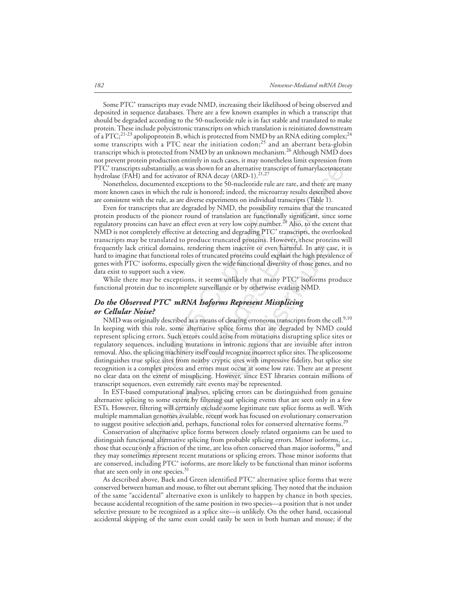Some PTC<sup>+</sup> transcripts may evade NMD, increasing their likelihood of being observed and deposited in sequence databases. There are a few known examples in which a transcript that should be degraded according to the 50-nucleotide rule is in fact stable and translated to make protein. These include polycistronic transcripts on which translation is reinitiated downstream of a PTC;<sup>21-23</sup> apolipoprotein B, which is protected from NMD by an RNA editing complex;<sup>24</sup> some transcripts with a PTC near the initiation codon;<sup>25</sup> and an aberrant beta-globin transcript which is protected from NMD by an unknown mechanism.<sup>26</sup> Although NMD does not prevent protein production entirely in such cases, it may nonetheless limit expression from  $\rm{PT \hat{C}^+}$  transcripts substantially, as was shown for an alternative transcript of fumarylacetoacetate hydrolase (FAH) and for activator of RNA decay (ARD-1).<sup>21,27</sup>

Nonetheless, documented exceptions to the 50-nucleotide rule are rare, and there are many more known cases in which the rule is honored; indeed, the microarray results described above are consistent with the rule, as are diverse experiments on individual transcripts (Table 1).

ipts that are degraded by NMD, the possibility<br>f the pioneer round of translation are function<br>can have an effect even at very low copy numbe<br>etely effective at detecting and degrading PTC<sup>+</sup><br>translated to produce truncate is aubstantially, as was shown for an alternative transcript of fumarylacetoacets<br>at and for activator of RNA decay (ARD-1).<sup>21,27</sup><br>A documented exceptions to the 50-nucleotide rule are rare, and there are mass<br>also altern Even for transcripts that are degraded by NMD, the possibility remains that the truncated protein products of the pioneer round of translation are functionally significant, since some regulatory proteins can have an effect even at very low copy number.<sup>28</sup> Also, to the extent that NMD is not completely effective at detecting and degrading PTC+ transcripts, the overlooked transcripts may be translated to produce truncated proteins. However, these proteins will frequently lack critical domains, rendering them inactive or even harmful. In any case, it is hard to imagine that functional roles of truncated proteins could explain the high prevalence of genes with PTC+ isoforms, especially given the wide functional diversity of those genes, and no data exist to support such a view.

While there may be exceptions, it seems unlikely that many PTC<sup>+</sup> isoforms produce functional protein due to incomplete surveillance or by otherwise evading NMD.

# *Do the Observed PTC+ mRNA Isoforms Represent Missplicing or Cellular Noise?*

ring them inactive or even harmful. In any ca<br>truncated proteins could explain the high preval<br>ven the wide functional diversity of those genes,<br>seems unlikely that many PTC<sup>+</sup> isoforms p<br>urveillance or by otherwise evadin NMD was originally described as a means of clearing erroneous transcripts from the cell.<sup>9,10</sup> In keeping with this role, some alternative splice forms that are degraded by NMD could represent splicing errors. Such errors could arise from mutations disrupting splice sites or regulatory sequences, including mutations in intronic regions that are invisible after intron removal. Also, the splicing machinery itself could recognize incorrect splice sites. The spliceosome distinguishes true splice sites from nearby cryptic sites with impressive fidelity, but splice site recognition is a complex process and errors must occur at some low rate. There are at present no clear data on the extent of missplicing. However, since EST libraries contain millions of transcript sequences, even extremely rare events may be represented.

In EST-based computational analyses, splicing errors can be distinguished from genuine alternative splicing to some extent by filtering out splicing events that are seen only in a few ESTs. However, filtering will certainly exclude some legitimate rare splice forms as well. With multiple mammalian genomes available, recent work has focused on evolutionary conservation to suggest positive selection and, perhaps, functional roles for conserved alternative forms.<sup>29</sup>

Conservation of alternative splice forms between closely related organisms can be used to distinguish functional alternative splicing from probable splicing errors. Minor isoforms, i.e., those that occur only a fraction of the time, are less often conserved than major isoforms,<sup>30</sup> and they may sometimes represent recent mutations or splicing errors. Those minor isoforms that are conserved, including PTC+ isoforms, are more likely to be functional than minor isoforms that are seen only in one species.<sup>31</sup>

As described above, Baek and Green identified PTC<sup>+</sup> alternative splice forms that were conserved between human and mouse, to filter out aberrant splicing. They noted that the inclusion of the same "accidental" alternative exon is unlikely to happen by chance in both species, because accidental recognition of the same position in two species—a position that is not under selective pressure to be recognized as a splice site—is unlikely. On the other hand, occasional accidental skipping of the same exon could easily be seen in both human and mouse; if the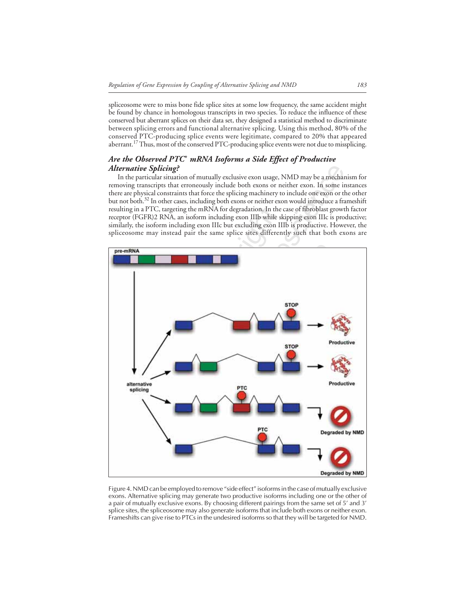spliceosome were to miss bone fide splice sites at some low frequency, the same accident might be found by chance in homologous transcripts in two species. To reduce the influence of these conserved but aberrant splices on their data set, they designed a statistical method to discriminate between splicing errors and functional alternative splicing. Using this method, 80% of the conserved PTC-producing splice events were legitimate, compared to 20% that appeared aberrant.<sup>17</sup> Thus, most of the conserved PTC-producing splice events were not due to missplicing.

# *Are the Observed PTC<sup>+</sup> mRNA Isoforms a Side Effect of Productive Alternative Splicing?*

In the particular situation of mutually exclusive exon usage, NMD may be a mechanism for removing transcripts that erroneously include both exons or neither exon. In some instances there are physical constraints that force the splicing machinery to include one exon or the other but not both.32 In other cases, including both exons or neither exon would introduce a frameshift resulting in a PTC, targeting the mRNA for degradation. In the case of fibroblast growth factor receptor (FGFR)2 RNA, an isoform including exon IIIb while skipping exon IIIc is productive; similarly, the isoform including exon IIIc but excluding exon IIIb is productive. However, the spliceosome may instead pair the same splice sites differently such that both exons are



Figure 4. NMD can be employed to remove "side effect" isoforms in the case of mutually exclusive exons. Alternative splicing may generate two productive isoforms including one or the other of a pair of mutually exclusive exons. By choosing different pairings from the same set of 5' and 3' splice sites, the spliceosome may also generate isoforms that include both exons or neither exon. Frameshifts can give rise to PTCs in the undesired isoforms so that they will be targeted for NMD.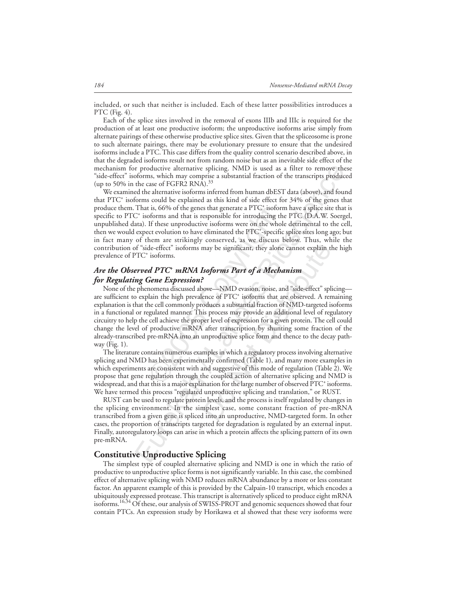included, or such that neither is included. Each of these latter possibilities introduces a PTC (Fig. 4).

Each of the splice sites involved in the removal of exons IIIb and IIIc is required for the production of at least one productive isoform; the unproductive isoforms arise simply from alternate pairings of these otherwise productive splice sites. Given that the spliceosome is prone to such alternate pairings, there may be evolutionary pressure to ensure that the undesired isoforms include a PTC. This case differs from the quality control scenario described above, in that the degraded isoforms result not from random noise but as an inevitable side effect of the mechanism for productive alternative splicing. NMD is used as a filter to remove these "side-effect" isoforms, which may comprise a substantial fraction of the transcripts produced (up to 50% in the case of FGFR2 RNA). $^{33}$ 

r productive alternative splicing. NMD is used as a filter to remove the<br>forms, which mean view alternative solutional fraction of the transcripts product<br>the case of FGFR2 RNA).<sup>35</sup> a substantial fraction of the transcrip We examined the alternative isoforms inferred from human dbEST data (above), and found that PTC+ isoforms could be explained as this kind of side effect for 34% of the genes that produce them. That is, 66% of the genes that generate a PTC<sup>+</sup> isoform have a splice site that is specific to PTC<sup>+</sup> isoforms and that is responsible for introducing the PTC (D.A.W. Soergel, unpublished data). If these unproductive isoforms were on the whole detrimental to the cell, then we would expect evolution to have eliminated the PTC<sup>+</sup>-specific splice sites long ago; but in fact many of them are strikingly conserved, as we discuss below. Thus, while the contribution of "side-effect" isoforms may be significant, they alone cannot explain the high prevalence of PTC<sup>+</sup> isoforms.

# *Are the Observed PTC+ mRNA Isoforms Part of a Mechanism for Regulating Gene Expression?*

t is, 66% of the genes that generate a PTC<sup>+</sup> isof<br>oforms and that is responsible for introducing<br>If these unproductive isoforms were on the wh<br>ct evolution to have eliminated the PTC<sup>+</sup>-speci-<br>hem are strikingly conserve may be significant, they alone cannot explain the<br> **Soforms Part of a Mechanism**<br>
Soforms Part of a Mechanism<br>
Nove—NMD evasion, noise, and "side-effect" splence of PTC<sup>+</sup> isoforms that are observed. A rencoluces a substan None of the phenomena discussed above—NMD evasion, noise, and "side-effect" splicing are sufficient to explain the high prevalence of PTC<sup>+</sup> isoforms that are observed. A remaining explanation is that the cell commonly produces a substantial fraction of NMD-targeted isoforms in a functional or regulated manner. This process may provide an additional level of regulatory circuitry to help the cell achieve the proper level of expression for a given protein. The cell could change the level of productive mRNA after transcription by shunting some fraction of the already-transcribed pre-mRNA into an unproductive splice form and thence to the decay pathway (Fig. 1).

The literature contains numerous examples in which a regulatory process involving alternative splicing and NMD has been experimentally confirmed (Table 1), and many more examples in which experiments are consistent with and suggestive of this mode of regulation (Table 2). We propose that gene regulation through the coupled action of alternative splicing and NMD is widespread, and that this is a major explanation for the large number of observed  $\rm{PTC^*}$  isoforms. We have termed this process "regulated unproductive splicing and translation," or RUST.

RUST can be used to regulate protein levels, and the process is itself regulated by changes in the splicing environment. In the simplest case, some constant fraction of pre-mRNA transcribed from a given gene is spliced into an unproductive, NMD-targeted form. In other cases, the proportion of transcripts targeted for degradation is regulated by an external input. Finally, autoregulatory loops can arise in which a protein affects the splicing pattern of its own pre-mRNA.

# **Constitutive Unproductive Splicing**

The simplest type of coupled alternative splicing and NMD is one in which the ratio of productive to unproductive splice forms is not significantly variable. In this case, the combined effect of alternative splicing with NMD reduces mRNA abundance by a more or less constant factor. An apparent example of this is provided by the Calpain-10 transcript, which encodes a ubiquitously expressed protease. This transcript is alternatively spliced to produce eight mRNA isoforms.16,34 Of these, our analysis of SWISS-PROT and genomic sequences showed that four contain PTCs. An expression study by Horikawa et al showed that these very isoforms were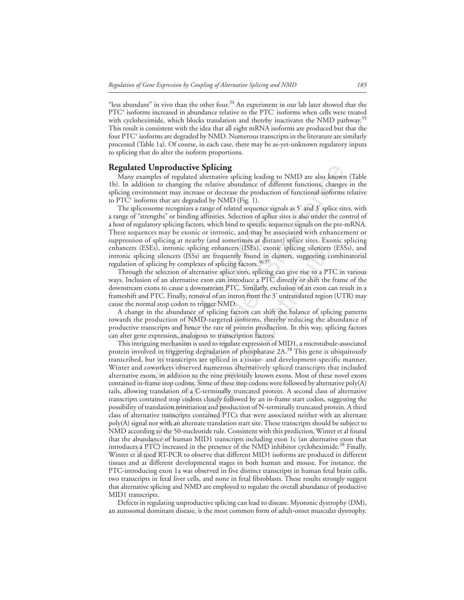"less abundant" in vivo than the other four. $34$  An experiment in our lab later showed that the PTC+ isoforms increased in abundance relative to the PTC- isoforms when cells were treated with cycloheximide, which blocks translation and thereby inactivates the NMD pathway.<sup>35</sup> This result is consistent with the idea that all eight mRNA isoforms are produced but that the four PTC+ isoforms are degraded by NMD. Numerous transcripts in the literature are similarly processed (Table 1a). Of course, in each case, there may be as-yet-unknown regulatory inputs to splicing that do alter the isoform proportions.

# **Regulated Unproductive Splicing**

Many examples of regulated alternative splicing leading to NMD are also known (Table 1b). In addition to changing the relative abundance of different functions, changes in the splicing environment may increase or decrease the production of functional isoforms relative to PTC<sup>+</sup> isoforms that are degraded by NMD (Fig. 1).

betwoom recognizes a range of related sequence signing<br>the engths" or binding affinities. Selection of splice<br>atory splicing factors, which bind to specific seq<br>ces may be exonic or intronic, and may be as<br>of splicing at n The spliceosome recognizes a range of related sequence signals as 5' and 3' splice sites, with a range of "strengths" or binding affinities. Selection of splice sites is also under the control of a host of regulatory splicing factors, which bind to specific sequence signals on the pre-mRNA. These sequences may be exonic or intronic, and may be associated with enhancement or suppression of splicing at nearby (and sometimes at distant) splice sites. Exonic splicing enhancers (ESEs), intronic splicing enhancers (ISEs), exonic splicing silencers (ESSs), and intronic splicing silencers (ISSs) are frequently found in clusters, suggesting combinatorial regulation of splicing by complexes of splicing factors.<sup>36,37</sup>

Through the selection of alternative splice sites, splicing can give rise to a PTC in various ways. Inclusion of an alternative exon can introduce a PTC directly or shift the frame of the downstream exons to cause a downstream PTC. Similarly, exclusion of an exon can result in a frameshift and PTC. Finally, removal of an intron from the 3' untranslated region (UTR) may cause the normal stop codon to trigger NMD.

A change in the abundance of splicing factors can shift the balance of splicing patterns towards the production of NMD-targeted isoforms, thereby reducing the abundance of productive transcripts and hence the rate of protein production. In this way, splicing factors can alter gene expression, analogous to transcription factors.

**Eurel Conferonductive Splicing**<br> **Eurely Splicing** (and the standing to NMD are also know<br>
examples of regulared alternative splicing leading to NMD are also know<br>
protonoment may increase or decrease the production of fu ng enhancers (ISEs), exonic splicing silencers<br>are frequently found in clusters, suggesting cc<br>so of splicing factors.<sup>36,37</sup><br>native splice sites, splicing can give rise to a PT<br>exon can introduce a PTC directly or shift t This intriguing mechanism is used to regulate expression of MID1, a microtubule-associated protein involved in triggering degradation of phosphatase  $2A$ .<sup>38</sup> This gene is ubiquitously transcribed, but its transcripts are spliced in a tissue- and development-specific manner. Winter and coworkers observed numerous alternatively spliced transcripts that included alternative exons, in addition to the nine previously known exons. Most of these novel exons contained in-frame stop codons. Some of these stop codons were followed by alternative poly(A) tails, allowing translation of a C-terminally truncated protein. A second class of alternative transcripts contained stop codons closely followed by an in-frame start codon, suggesting the possibility of translation reinitiation and production of N-terminally truncated protein. A third class of alternative transcripts contained PTCs that were associated neither with an alternate poly(A) signal nor with an alternate translation start site. These transcripts should be subject to NMD according to the 50-nucleotide rule. Consistent with this prediction, Winter et al found that the abundance of human MID1 transcripts including exon 1c (an alternative exon that introduces a PTC) increased in the presence of the NMD inhibitor cycloheximide.<sup>38</sup> Finally, Winter et al used RT-PCR to observe that different MID1 isoforms are produced in different tissues and at different developmental stages in both human and mouse. For instance, the PTC-introducing exon 1a was observed in five distinct transcripts in human fetal brain cells, two transcripts in fetal liver cells, and none in fetal fibroblasts. These results strongly suggest that alternative splicing and NMD are employed to regulate the overall abundance of productive MID1 transcripts.

Defects in regulating unproductive splicing can lead to disease. Myotonic dystrophy (DM), an autosomal dominant disease, is the most common form of adult-onset muscular dystrophy.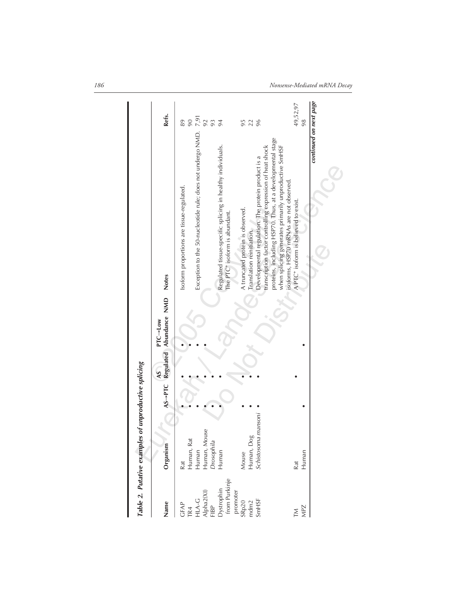|                                                                           | Table 2. Putative examples of unproductive splicing                           |             |                                            |                                                                                                                                                                                                                                               |                                      |
|---------------------------------------------------------------------------|-------------------------------------------------------------------------------|-------------|--------------------------------------------|-----------------------------------------------------------------------------------------------------------------------------------------------------------------------------------------------------------------------------------------------|--------------------------------------|
| Name                                                                      | Organism                                                                      | $\lambda$ S | AS-PTC Regulated Abundance NMD<br>PTC--Low | <b>Notes</b>                                                                                                                                                                                                                                  | Refs.                                |
| Dystrophin<br>from Purkinje<br>HLA-G<br>Alpha2(XI)<br>-1BP<br>GFAP<br>FR4 | <b>ISE</b><br>Human, Mou<br>Human, Rat<br>Drosophila<br>Human<br>Human<br>Rat |             |                                            | Exception to the 50-nucleotide rule; does not undergo NMD.<br>Regulated tissue-specific splicing in healthy individuals.<br>Isoform proportions are tissue-regulated.<br>The PTC <sup>+</sup> isoform is abundant.                            | $7,91$<br>92<br>90<br>93<br>89<br>94 |
| promoter<br>SmHSF<br>SRp20<br>mdm2                                        | mansoni<br>Human, Dog<br>Schistosoma<br>Mouse                                 |             |                                            | proteins, including HSP70. Thus, at a developmental stage<br>transcription factor controlling expression of heat shock<br>Developmental regulation. The protein product is a<br>A truncated protein is observed.<br>Translation reinitiation. | 96<br>95<br>22                       |
| <b>MPZ</b><br>Σ                                                           | Human<br>Rat                                                                  |             |                                            | when splicing generates primarily unproductive SmHSF<br>isoforms, HSP70 mRNAs are not observed.<br>A PTC <sup>+</sup> isoform is believed to exist.                                                                                           | 49,52,97<br>98                       |
|                                                                           |                                                                               |             |                                            | continued on next page                                                                                                                                                                                                                        |                                      |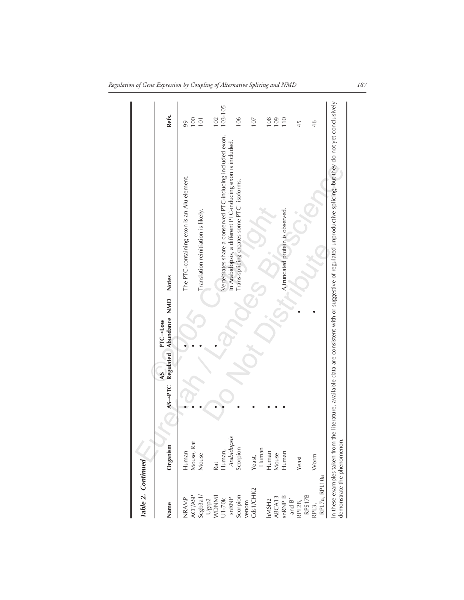| Table 2. Continued                                            |                                  |                             |               |                                                                                                                                       |                |
|---------------------------------------------------------------|----------------------------------|-----------------------------|---------------|---------------------------------------------------------------------------------------------------------------------------------------|----------------|
| Name                                                          | $AS \rightarrow PTC$<br>Organism | PTC--Low<br>Regulated<br>AS | Abundance NMD | <b>Notes</b>                                                                                                                          | Refs.          |
| NRAMP                                                         | Human                            |                             |               | The PTC-containing exon is an Alu element.                                                                                            | 99             |
| ACF/ASP<br>Scgb3a1/<br>Ugrp2<br>WDNM1                         | Mouse, Rat<br>Mouse              |                             |               | Translation reinitiation is likely.                                                                                                   | 100<br>101     |
|                                                               | <b>Rat</b>                       |                             |               |                                                                                                                                       | 102            |
| J1-70k<br>snRNP                                               | Arabidopsis<br>Human,            |                             |               | Vertebrates share a conserved PTC-inducing included exon.<br>In Arabidopsis, a different PTC-inducing exon is included.               | 103-105        |
| Scorpion                                                      | Scorpion                         |                             |               | Trans-splicing creates some PTC <sup>+</sup> isoforms.                                                                                | 106            |
| venom<br>Cds1/CHK2                                            | Yeast,                           |                             |               |                                                                                                                                       | 107            |
|                                                               | Human                            |                             |               |                                                                                                                                       |                |
| 1MSH <sub>2</sub>                                             |                                  |                             |               |                                                                                                                                       | 108            |
| ABCA13                                                        | Human<br>Mouse                   |                             |               |                                                                                                                                       | 109            |
| $snRNPB$<br>and $B'$                                          | Human                            |                             |               | A truncated protein is observed.                                                                                                      | $\frac{1}{10}$ |
| RPL28,                                                        | Yeast                            |                             |               |                                                                                                                                       | 45             |
| RPS17B                                                        |                                  |                             |               |                                                                                                                                       |                |
| RPL7a, RPL10a<br>2PL3,                                        | Worm                             |                             |               |                                                                                                                                       | 46             |
| demonstrate the phenomenon.<br>In these examples taken from 1 |                                  |                             |               | the literature, available data are consistent with or suggestive of regulated unproductive splicing, but they do not yet conclusively |                |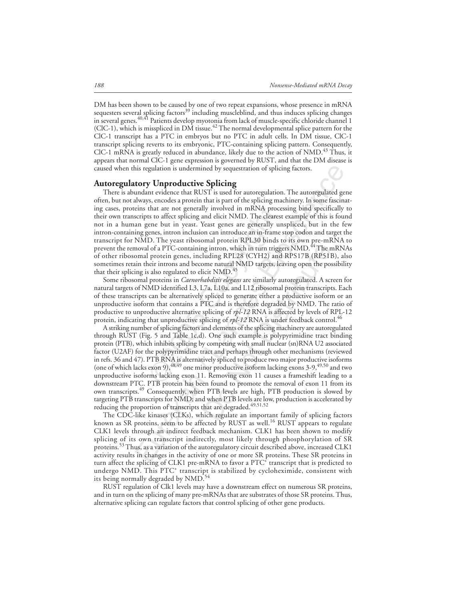DM has been shown to be caused by one of two repeat expansions, whose presence in mRNA sequesters several splicing factors<sup>39</sup> including muscleblind, and thus induces splicing changes in several genes.<sup>40,41</sup> Patients develop myotonia from lack of muscle-specific chloride channel 1 (ClC-1), which is misspliced in DM tissue.<sup>42</sup> The normal developmental splice pattern for the ClC-1 transcript has a PTC in embryos but no PTC in adult cells. In DM tissue, ClC-1 transcript splicing reverts to its embryonic, PTC-containing splicing pattern. Consequently, ClC-1 mRNA is greatly reduced in abundance, likely due to the action of NMD.<sup>43</sup> Thus, it appears that normal ClC-1 gene expression is governed by RUST, and that the DM disease is caused when this regulation is undermined by sequestration of splicing factors.

## **Autoregulatory Unproductive Splicing**

that are not generally involved in mRNA pro<br>ts to affect splicing and elicit NMD. The cleare<br>ene but in yeast. Yeast genes are generally  $y$ <br>tense, intron inclusion can introduce an in-fram<br>D. The yeast ribosomal protein is regulation is undermined by sequestration of splicing factors.<br> **tory Unproductive Splicing**<br>
modular videors that RUST is used for autoregulation. The autoregulated guaday<br>
sulways, encodes a protein that is part of t There is abundant evidence that RUST is used for autoregulation. The autoregulated gene often, but not always, encodes a protein that is part of the splicing machinery. In some fascinating cases, proteins that are not generally involved in mRNA processing bind specifically to their own transcripts to affect splicing and elicit NMD. The clearest example of this is found not in a human gene but in yeast. Yeast genes are generally unspliced, but in the few intron-containing genes, intron inclusion can introduce an in-frame stop codon and target the transcript for NMD. The yeast ribosomal protein RPL30 binds to its own pre-mRNA to prevent the removal of a PTC-containing intron, which in turn triggers NMD.<sup>44</sup> The mRNAs of other ribosomal protein genes, including RPL28 (CYH2) and RPS17B (RP51B), also sometimes retain their introns and become natural NMD targets, leaving open the possibility that their splicing is also regulated to elicit NMD.<sup>45</sup>

Some ribosomal proteins in *Caenorhabditis elegans* are similarly autoregulated. A screen for natural targets of NMD identified L3, L7a, L10a, and L12 ribosomal protein transcripts. Each of these transcripts can be alternatively spliced to generate either a productive isoform or an unproductive isoform that contains a PTC and is therefore degraded by NMD. The ratio of productive to unproductive alternative splicing of *rpl-12* RNA is affected by levels of RPL-12 protein, indicating that unproductive splicing of *rpl-12* RNA is under feedback control.<sup>46</sup>

ng intron, which in turn triggers NMD.<sup>44</sup> The n<br>luding RPL28 (CYH2) and RPS17B (RP51B<br>ome natural NMD targets, leaving open the pos<br>icit NMD.<sup>45</sup><br>*shabditis elegans* are similarly autoregulated. A scr<br>7a, L10a, and L12 ri A striking number of splicing factors and elements of the splicing machinery are autoregulated through RUST (Fig. 5 and Table 1c,d). One such example is polypyrimidine tract binding protein (PTB), which inhibits splicing by competing with small nuclear (sn)RNA U2 associated factor (U2AF) for the polypyrimidine tract and perhaps through other mechanisms (reviewed in refs. 36 and 47). PTB RNA is alternatively spliced to produce two major productive isoforms (one of which lacks exon 9),  $48,49$  one minor productive isoform lacking exons 3-9,  $49,50$  and two unproductive isoforms lacking exon 11. Removing exon 11 causes a frameshift leading to a downstream PTC. PTB protein has been found to promote the removal of exon 11 from its own transcripts.<sup>49</sup> Consequently, when PTB levels are high, PTB production is slowed by targeting PTB transcripts for NMD; and when PTB levels are low, production is accelerated by reducing the proportion of transcripts that are degraded.<sup>49,51,52</sup>

The CDC-like kinases (CLKs), which regulate an important family of splicing factors known as SR proteins, seem to be affected by RUST as well.<sup>16</sup> RUST appears to regulate CLK1 levels through an indirect feedback mechanism. CLK1 has been shown to modify splicing of its own transcript indirectly, most likely through phosphorylation of SR proteins.53 Thus, as a variation of the autoregulatory circuit described above, increased CLK1 activity results in changes in the activity of one or more SR proteins. These SR proteins in turn affect the splicing of CLK1 pre-mRNA to favor a PTC $^{\ddag}$  transcript that is predicted to undergo NMD. This PTC<sup>+</sup> transcript is stabilized by cycloheximide, consistent with its being normally degraded by NMD.<sup>54</sup>

RUST regulation of Clk1 levels may have a downstream effect on numerous SR proteins, and in turn on the splicing of many pre-mRNAs that are substrates of those SR proteins. Thus, alternative splicing can regulate factors that control splicing of other gene products.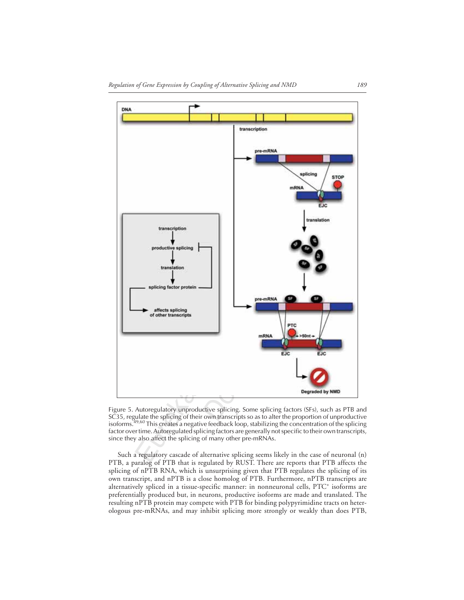

Figure 5. Autoregulatory unproductive splicing. Some splicing factors (SFs), such as PTB and SC35, regulate the splicing of their own transcripts so as to alter the proportion of unproductive<br>isoforms.<sup>49,60</sup> This creates a negative feedback loop, stabilizing the concentration of the splicing factor over time. Autoregulated splicing factors are generally not specific to their own transcripts, since they also affect the splicing of many other pre-mRNAs.

Such a regulatory cascade of alternative splicing seems likely in the case of neuronal (n) PTB, a paralog of PTB that is regulated by RUST. There are reports that PTB affects the splicing of nPTB RNA, which is unsurprising given that PTB regulates the splicing of its own transcript, and nPTB is a close homolog of PTB. Furthermore, nPTB transcripts are alternatively spliced in a tissue-specific manner: in nonneuronal cells, PTC<sup>+</sup> isoforms are preferentially produced but, in neurons, productive isoforms are made and translated. The resulting nPTB protein may compete with PTB for binding polypyrimidine tracts on heterologous pre-mRNAs, and may inhibit splicing more strongly or weakly than does PTB,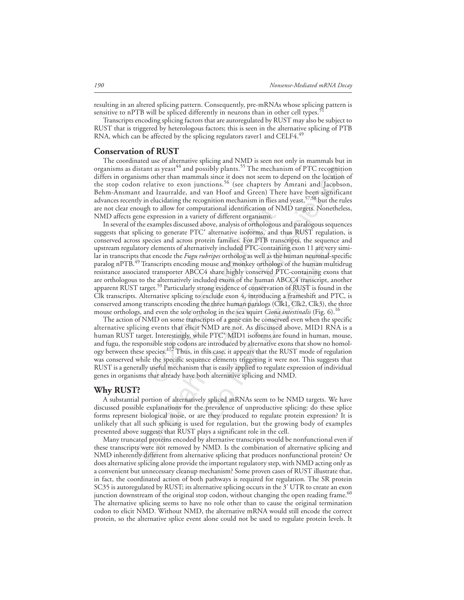resulting in an altered splicing pattern. Consequently, pre-mRNAs whose splicing pattern is sensitive to nPTB will be spliced differently in neurons than in other cell types.

Transcripts encoding splicing factors that are autoregulated by RUST may also be subject to RUST that is triggered by heterologous factors; this is seen in the alternative splicing of PTB RNA, which can be affected by the splicing regulators raver1 and CELF4.<sup>49</sup>

#### **Conservation of RUST**

The coordinated use of alternative splicing and NMD is seen not only in mammals but in organisms as distant as yeast<sup>44</sup> and possibly plants.<sup>55</sup> The mechanism of PTC recognition differs in organisms other than mammals since it does not seem to depend on the location of the stop codon relative to exon junctions.<sup>56</sup> (see chapters by Amrani and Jacobson, Behm-Ansmant and Izaurralde, and van Hoof and Green) There have been significant advances recently in elucidating the recognition mechanism in flies and yeast,<sup>57,58</sup> but the rules are not clear enough to allow for computational identification of NMD targets. Nonetheless, NMD affects gene expression in a variety of different organisms.

h to allow for computational identification of 1<br>expression in a variety of different organisms.<br>examples discussed above, analysis of orthologou<br>mg to generate PTC<sup>+</sup> alternative isoforms, and<br>eccies and across protein fa listant as years<sup>44</sup> and possibly plants.<sup>55</sup> The mechanism of PTC recognities<br>nisms other than nummals since if does not seen to depend on the location<br>not relative to exon junctions.<sup>36</sup> (see chapters by Amrani and Jaco tively included PTC-containing exon 11 are vertings ortholog as well as the human neuronal-<br>nouse and monkey orthologs of the human neuronal-<br>nouse and monkey orthologs of the human muronal-<br>nouse and monkey orthologs of t In several of the examples discussed above, analysis of orthologous and paralogous sequences suggests that splicing to generate PTC<sup>+</sup> alternative isoforms, and thus RUST regulation, is conserved across species and across protein families. For PTB transcripts, the sequence and upstream regulatory elements of alternatively included PTC-containing exon 11 are very similar in transcripts that encode the *Fugu rubripes* ortholog as well as the human neuronal-specific paralog nPTB.49 Transcripts encoding mouse and monkey orthologs of the human multidrug resistance associated transporter ABCC4 share highly conserved PTC-containing exons that are orthologous to the alternatively included exons of the human ABCC4 transcript, another apparent RUST target.<sup>59</sup> Particularly strong evidence of conservation of RUST is found in the Clk transcripts. Alternative splicing to exclude exon 4, introducing a frameshift and PTC, is conserved among transcripts encoding the three human paralogs (Clk1, Clk2, Clk3), the three mouse orthologs, and even the sole ortholog in the sea squirt *Ciona intestinalis* (Fig. 6).<sup>16</sup>

The action of NMD on some transcripts of a gene can be conserved even when the specific alternative splicing events that elicit NMD are not. As discussed above, MID1 RNA is a human RUST target. Interestingly, while PTC+ MID1 isoforms are found in human, mouse, and fugu, the responsible stop codons are introduced by alternative exons that show no homology between these species.<sup>172</sup> Thus, in this case, it appears that the RUST mode of regulation was conserved while the specific sequence elements triggering it were not. This suggests that RUST is a generally useful mechanism that is easily applied to regulate expression of individual genes in organisms that already have both alternative splicing and NMD.

## **Why RUST?**

A substantial portion of alternatively spliced mRNAs seem to be NMD targets. We have discussed possible explanations for the prevalence of unproductive splicing: do these splice forms represent biological noise, or are they produced to regulate protein expression? It is unlikely that all such splicing is used for regulation, but the growing body of examples presented above suggests that RUST plays a significant role in the cell.

Many truncated proteins encoded by alternative transcripts would be nonfunctional even if these transcripts were not removed by NMD. Is the combination of alternative splicing and NMD inherently different from alternative splicing that produces nonfunctional protein? Or does alternative splicing alone provide the important regulatory step, with NMD acting only as a convenient but unnecessary cleanup mechanism? Some proven cases of RUST illustrate that, in fact, the coordinated action of both pathways is required for regulation. The SR protein SC35 is autoregulated by RUST; its alternative splicing occurs in the 3' UTR to create an exon junction downstream of the original stop codon, without changing the open reading frame.<sup>60</sup> The alternative splicing seems to have no role other than to cause the original termination codon to elicit NMD. Without NMD, the alternative mRNA would still encode the correct protein, so the alternative splice event alone could not be used to regulate protein levels. It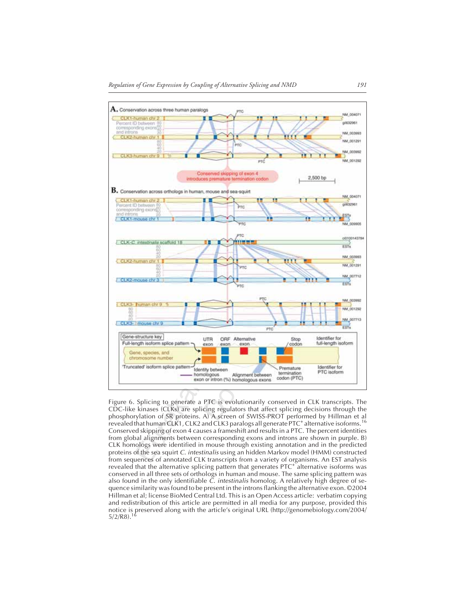

Figure 6. Splicing to generate a PTC is evolutionarily conserved in CLK transcripts. The CDC-like kinases (CLKs) are splicing regulators that affect splicing decisions through the phosphorylation of SR proteins. A) A screen of SWISS-PROT performed by Hillman et al revealed that human CLK1, CLK2 and CLK3 paralogs all generate PTC<sup>+</sup> alternative isoforms.<sup>16</sup> Conserved skipping of exon 4 causes a frameshift and results in a PTC. The percent identities from global alignments between corresponding exons and introns are shown in purple. B) CLK homologs were identified in mouse through existing annotation and in the predicted proteins of the sea squirt C. intestinalis using an hidden Markov model (HMM) constructed from sequences of annotated CLK transcripts from a variety of organisms. An EST analysis revealed that the alternative splicing pattern that generates PTC<sup>+</sup> alternative isoforms was conserved in all three sets of orthologs in human and mouse. The same splicing pattern was also found in the only identifiable C. intestinalis homolog. A relatively high degree of sequence similarity was found to be present in the introns flanking the alternative exon. ©2004 Hillman et al; license BioMed Central Ltd. This is an Open Access article: verbatim copying and redistribution of this article are permitted in all media for any purpose, provided this notice is preserved along with the article's original URL (http://genomebiology.com/2004/  $5/2/R8$ ).<sup>1</sup>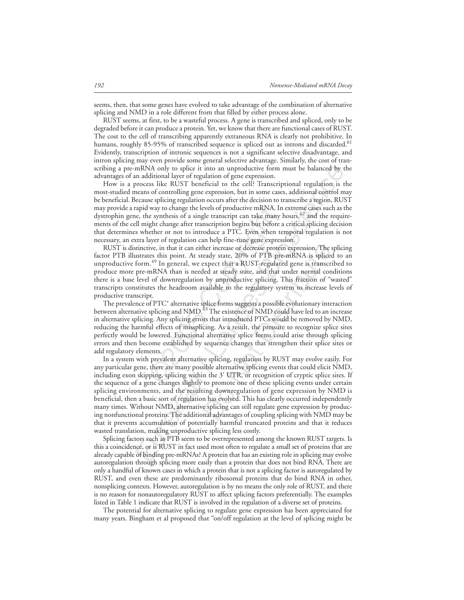seems, then, that some genes have evolved to take advantage of the combination of alternative splicing and NMD in a role different from that filled by either process alone.

RUST seems, at first, to be a wasteful process. A gene is transcribed and spliced, only to be degraded before it can produce a protein. Yet, we know that there are functional cases of RUST. The cost to the cell of transcribing apparently extraneous RNA is clearly not prohibitive. In humans, roughly 85-95% of transcribed sequence is spliced out as introns and discarded.<sup>61</sup> Evidently, transcription of intronic sequences is not a significant selective disadvantage, and intron splicing may even provide some general selective advantage. Similarly, the cost of transcribing a pre-mRNA only to splice it into an unproductive form must be balanced by the advantages of an additional layer of regulation of gene expression.

How is a process like RUST beneficial to the cell? Transcriptional regulation is the most-studied means of controlling gene expression, but in some cases, additional control may be beneficial. Because splicing regulation occurs after the decision to transcribe a region, RUST may provide a rapid way to change the levels of productive mRNA. In extreme cases such as the dystrophin gene, the synthesis of a single transcript can take many hours,  $62$  and the requirements of the cell might change after transcription begins but before a critical splicing decision that determines whether or not to introduce a PTC. Even when temporal regulation is not necessary, an extra layer of regulation can help fine-tune gene expression.

RUST is distinctive, in that it can either increase or decrease protein expression. The splicing factor PTB illustrates this point. At steady state, 20% of PTB pre-mRNA is spliced to an unproductive form.<sup>49</sup> In general, we expect that a RUST-regulated gene is transcribed to produce more pre-mRNA than is needed at steady state, and that under normal conditions there is a base level of downregulation by unproductive splicing. This fraction of "wasted" transcripts constitutes the headroom available to the regulatory system to increase levels of productive transcript.

way to change the levels of productive mRNA.<br>
ie synthesis of a single transcript can take man<br>
ight change after transcription begins but befor<br>
enther or not to introduce a PTC. Even when<br>
ayer of regulation can help fin The prevalence of PTC<sup>+</sup> alternative splice forms suggests a possible evolutionary interaction between alternative splicing and NMD.<sup>63</sup> The existence of NMD could have led to an increase in alternative splicing. Any splicing errors that introduced PTCs would be removed by NMD, reducing the harmful effects of missplicing. As a result, the pressure to recognize splice sites perfectly would be lowered. Functional alternative splice forms could arise through splicing errors and then become established by sequence changes that strengthen their splice sites or add regulatory elements.

m additional layer os piec is into an unproductive form must be balanced by to process like RUST beneficial of the cell? Transcriptional regulation is the concess like RUST beneficial to the cell? Transcriptional regulatio her increase or decrease protein expression. The seady state, 20% of PTB pre-mRNA is splice<br>expect that a RUST-regulated gene is transcri-<br>led at steady state, and that under normal con<br>led at steady state, and that under In a system with prevalent alternative splicing, regulation by RUST may evolve easily. For any particular gene, there are many possible alternative splicing events that could elicit NMD, including exon skipping, splicing within the 3' UTR, or recognition of cryptic splice sites. If the sequence of a gene changes slightly to promote one of these splicing events under certain splicing environments, and the resulting downregulation of gene expression by NMD is beneficial, then a basic sort of regulation has evolved. This has clearly occurred independently many times. Without NMD, alternative splicing can still regulate gene expression by producing nonfunctional proteins. The additional advantages of coupling splicing with NMD may be that it prevents accumulation of potentially harmful truncated proteins and that it reduces wasted translation, making unproductive splicing less costly.

Splicing factors such as PTB seem to be overrepresented among the known RUST targets. Is this a coincidence, or is RUST in fact used most often to regulate a small set of proteins that are already capable of binding pre-mRNAs? A protein that has an existing role in splicing may evolve autoregulation through splicing more easily than a protein that does not bind RNA. There are only a handful of known cases in which a protein that is not a splicing factor is autoregulated by RUST, and even these are predominantly ribosomal proteins that do bind RNA in other, nonsplicing contexts. However, autoregulation is by no means the only role of RUST, and there is no reason for nonautoregulatory RUST to affect splicing factors preferentially. The examples listed in Table 1 indicate that RUST is involved in the regulation of a diverse set of proteins.

The potential for alternative splicing to regulate gene expression has been appreciated for many years. Bingham et al proposed that "on/off regulation at the level of splicing might be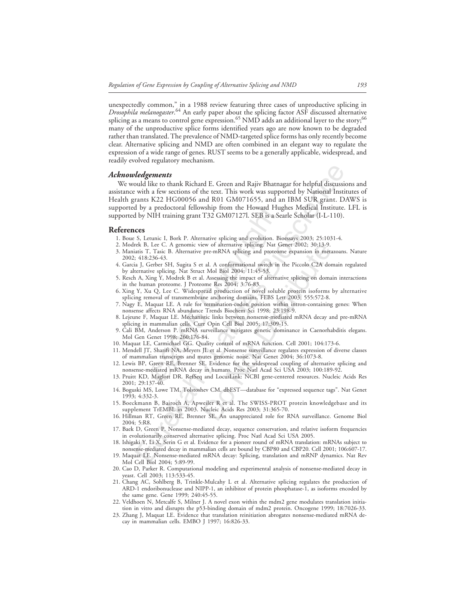unexpectedly common," in a 1988 review featuring three cases of unproductive splicing in *Drosophila melanogaster*. 64 An early paper about the splicing factor ASF discussed alternative splicing as a means to control gene expression.<sup>65</sup> NMD adds an additional layer to the story;<sup>66</sup> many of the unproductive splice forms identified years ago are now known to be degraded rather than translated. The prevalence of NMD-targeted splice forms has only recently become clear. Alternative splicing and NMD are often combined in an elegant way to regulate the expression of a wide range of genes. RUST seems to be a generally applicable, widespread, and readily evolved regulatory mechanism.

#### *Acknowledgements*

a predoctoral fellowship from the Howard H<br>NIH training grant T32 GM07127l. SEB is a S<br>
etunic I, Bork P. Alternative splicing and evolution. I, Lee C. A genomic view of alternative splicing. Nat<br>
7, Tasic B. Alternative p **Ledgements**<br> **Ledgements**<br>
Und like to thank Richard E. Green and Rajiv Bhatnagar for helpful discussi<br>
with a few sections of the text. This work was supported by National Institutes<br>
areas areas K22 HG000056 and R01 GM0 We would like to thank Richard E. Green and Rajiv Bhatnagar for helpful discussions and assistance with a few sections of the text. This work was supported by National Institutes of Health grants K22 HG00056 and R01 GM071655, and an IBM SUR grant. DAWS is supported by a predoctoral fellowship from the Howard Hughes Medical Institute. LFL is supported by NIH training grant T32 GM07127l. SEB is a Searle Scholar (I-L-110).

#### **References**

- 1. Boue S, Letunic I, Bork P. Alternative splicing and evolution. Bioessays 2003; 25:1031-4.
- 2. Modrek B, Lee C. A genomic view of alternative splicing. Nat Genet 2002; 30:13-9.
- ew of alternative splicing. Nat Genet 2002; 30:13-9.<br>pre-mRNA splicing and proteome expansion in meta<br>cal. A conformational switch in the Piccolo C2A dor<br>t Mol Biol 2004; 11:45-53.<br>Assessing the impact of alternative splic 3. Maniatis T, Tasic B. Alternative pre-mRNA splicing and proteome expansion in metazoans. Nature 2002; 418:236-43.
- 4. Garcia J, Gerber SH, Sugita S et al. A conformational switch in the Piccolo C2A domain regulated by alternative splicing. Nat Struct Mol Biol 2004; 11:45-53.
- 5. Resch A, Xing Y, Modrek B et al. Assessing the impact of alternative splicing on domain interactions in the human proteome. J Proteome Res 2004; 3:76-83.
- 6. Xing Y, Xu Q, Lee C. Widespread production of novel soluble protein isoforms by alternative splicing removal of transmembrane anchoring domains. FEBS Lett 2003; 555:572-8.
- 7. Nagy E, Maquat LE. A rule for termination-codon position within intron-containing genes: When nonsense affects RNA abundance Trends Biochem Sci 1998; 23:198-9.
- 8. Lejeune F, Maquat LE. Mechanistic links between nonsense-mediated mRNA decay and pre-mRNA splicing in mammalian cells. Curr Opin Cell Biol 2005; 17:309-15.
- 9. Cali BM, Anderson P. mRNA surveillance mitigates genetic dominance in Caenorhabditis elegans. Mol Gen Genet 1998; 260:176-84.
- 10. Maquat LE, Carmichael GG. Quality control of mRNA function. Cell 2001; 104:173-6.
- 11. Mendell JT, Sharifi NA, Meyers JL et al. Nonsense surveillance regulates expression of diverse classes of mammalian transcripts and mutes genomic noise. Nat Genet 2004; 36:1073-8.
- 12. Lewis BP, Green RE, Brenner SE. Evidence for the widespread coupling of alternative splicing and nonsense-mediated mRNA decay in humans. Proc Natl Acad Sci USA 2003; 100:189-92.
- 13. Pruitt KD, Maglott DR. RefSeq and LocusLink: NCBI gene-centered resources. Nucleic Acids Res 2001; 29:137-40.
- 14. Boguski MS, Lowe TM, Tolstoshev CM. dbEST—database for "expressed sequence tags". Nat Genet 1993; 4:332-3.
- 15. Boeckmann B, Bairoch A, Apweiler R et al. The SWISS-PROT protein knowledgebase and its supplement TrEMBL in 2003. Nucleic Acids Res 2003; 31:365-70.
- 16. Hillman RT, Green RE, Brenner SE. An unappreciated role for RNA surveillance. Genome Biol 2004; 5:R8.
- 17. Baek D, Green P. Nonsense-mediated decay, sequence conservation, and relative isoform frequencies in evolutionarily conserved alternative splicing. Proc Natl Acad Sci USA 2005.
- 18. Ishigaki Y, Li X, Serin G et al. Evidence for a pioneer round of mRNA translation: mRNAs subject to nonsense-mediated decay in mammalian cells are bound by CBP80 and CBP20. Cell 2001; 106:607-17.
- 19. Maquat LE. Nonsense-mediated mRNA decay: Splicing, translation and mRNP dynamics. Nat Rev Mol Cell Biol 2004; 5:89-99.
- 20. Cao D, Parker R. Computational modeling and experimental analysis of nonsense-mediated decay in yeast. Cell 2003; 113:533-45.
- 21. Chang AC, Sohlberg B, Trinkle-Mulcahy L et al. Alternative splicing regulates the production of ARD-1 endoribonuclease and NIPP-1, an inhibitor of protein phosphatase-1, as isoforms encoded by the same gene. Gene 1999; 240:45-55.
- 22. Veldhoen N, Metcalfe S, Milner J. A novel exon within the mdm2 gene modulates translation initiation in vitro and disrupts the p53-binding domain of mdm2 protein. Oncogene 1999; 18:7026-33.
- 23. Zhang J, Maquat LE. Evidence that translation reinitiation abrogates nonsense-mediated mRNA decay in mammalian cells. EMBO J 1997; 16:826-33.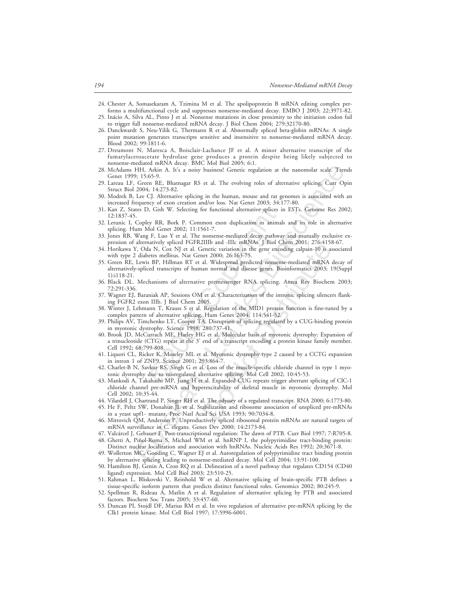- 24. Chester A, Somasekaram A, Tzimina M et al. The apolipoprotein B mRNA editing complex performs a multifunctional cycle and suppresses nonsense-mediated decay. EMBO J 2003; 22:3971-82.
- 25. Inácio A, Silva AL, Pinto J et al. Nonsense mutations in close proximity to the initiation codon fail to trigger full nonsense-mediated mRNA decay. J Biol Chem 2004; 279:32170-80.
- 26. Danckwardt S, Neu-Yilik G, Thermann R et al. Abnormally spliced beta-globin mRNAs: A single point mutation generates transcripts sensitive and insensitive to nonsense-mediated mRNA decay. Blood 2002; 99:1811-6.
- 27. Dreumont N, Maresca A, Boisclair-Lachance JF et al. A minor alternative transcript of the fumarylacetoacetate hydrolase gene produces a protein despite being likely subjected to nonsense-mediated mRNA decay. BMC Mol Biol 2005; 6:1.
- 28. McAdams HH, Arkin A. It's a noisy business! Genetic regulation at the nanomolar scale. Trends Genet 1999; 15:65-9.
- 29. Lareau LF, Green RE, Bhatnagar RS et al. The evolving roles of alternative splicing. Curr Opin Struct Biol 2004; 14:273-82.
- 30. Modrek B, Lee CJ. Alternative splicing in the human, mouse and rat genomes is associated with an increased frequency of exon creation and/or loss. Nat Genet 2003; 34:177-80.
- 31. Kan Z, States D, Gish W. Selecting for functional alternative splices in ESTs. Genome Res 2002; 12:1837-45.
- 32. Letunic I, Copley RR, Bork P. Common exon duplication in animals and its role in alternative splicing. Hum Mol Genet 2002; 11:1561-7.
- 33. Jones RB, Wang F, Luo Y et al. The nonsense-mediated decay pathway and mutually exclusive expression of alternatively spliced FGFR2IIIb and -IIIc mRNAs. J Biol Chem 2001; 276:4158-67.
- 34. Horikawa Y, Oda N, Cox NJ et al. Genetic variation in the gene encoding calpain-10 is associated with type 2 diabetes mellitus. Nat Genet 2000; 26:163-75.
- ), Gish W. Selecting for functional alternative splices<br>ey RR, Bork P. Common exon duplication in anin<br>Aol Genet 2002; 11:1561-7.<br>F, Luo Y et al. The nonsense-mediated decay path,<br>natively spliced FGFR2IIIb and -IIIc mRNAs FIFIL Atkins M. The consideration at the nanomolar scale. Tree<br>
FIFIL Atkins M. Fits a noisy business! Genetic regulation at the nanomolar scale. Teen<br>
RE Bioscope RE, Bhartagar RS et al. The evolving roles of alternative The and the mixivas. J bond Call 2002; 10.45-12<br>enertic variation in the gene encoding calpain-10 is as<br>enertic variation in the gene encoding calpain-10 is as<br>tet 2000; 26:163-75.<br>al. Widespread predicted nonsense-mediate 35. Green RE, Lewis BP, Hillman RT et al. Widespread predicted nonsense-mediated mRNA decay of alternatively-spliced transcripts of human normal and disease genes. Bioinformatics 2003; 19(Suppl 1):i118-21.
- 36. Black DL. Mechanisms of alternative premessenger RNA splicing. Annu Rev Biochem 2003; 72:291-336.
- 37. Wagner EJ, Baraniak AP, Sessions OM et al. Characterization of the intronic splicing silencers flanking FGFR2 exon IIIb. J Biol Chem 2005.
- 38. Winter J, Lehmann T, Krauss S et al. Regulation of the MID1 protein function is fine-tuned by a complex pattern of alternative splicing. Hum Genet 2004; 114:541-52.
- 39. Philips AV, Timchenko LT, Cooper TA. Disruption of splicing regulated by a CUG-binding protein in myotonic dystrophy. Science 1998; 280:737-41.
- 40. Brook JD, McCurrach ME, Harley HG et al. Molecular basis of myotonic dystrophy: Expansion of a trinucleotide (CTG) repeat at the 3' end of a transcript encoding a protein kinase family member. Cell 1992; 68:799-808.
- 41. Liquori CL, Ricker K, Moseley ML et al. Myotonic dystrophy type 2 caused by a CCTG expansion in intron 1 of ZNF9. Science 2001; 293:864-7.
- 42. Charlet-B N, Savkur RS, Singh G et al. Loss of the muscle-specific chloride channel in type 1 myotonic dystrophy due to misregulated alternative splicing. Mol Cell 2002; 10:45-53.
- 43. Mankodi A, Takahashi MP, Jiang H et al. Expanded CUG repeats trigger aberrant splicing of ClC-1 chloride channel pre-mRNA and hyperexcitability of skeletal muscle in myotonic dystrophy. Mol Cell 2002; 10:35-44.
- 44. Vilardell J, Chartrand P, Singer RH et al. The odyssey of a regulated transcript. RNA 2000; 6:1773-80.
- 45. He F, Peltz SW, Donahue JL et al. Stabilization and ribosome association of unspliced pre-mRNAs in a yeast upf1- mutant. Proc Natl Acad Sci USA 1993; 90:7034-8.
- 46. Mitrovich QM, Anderson P. Unproductively spliced ribosomal protein mRNAs are natural targets of mRNA surveillance in C. elegans. Genes Dev 2000; 14:2173-84.
- 47. Valcárcel J, Gebauer F. Post-transcriptional regulation: The dawn of PTB. Curr Biol 1997; 7:R705-8.
- 48. Ghetti A, Piñol-Roma S, Michael WM et al. hnRNP I, the polypyrimidine tract-binding protein: Distinct nuclear localization and association with hnRNAs. Nucleic Acids Res 1992; 20:3671-8.
- 49. Wollerton MC, Gooding C, Wagner EJ et al. Autoregulation of polypyrimidine tract binding protein by alternative splicing leading to nonsense-mediated decay. Mol Cell 2004; 13:91-100.
- 50. Hamilton BJ, Genin A, Cron RQ et al. Delineation of a novel pathway that regulates CD154 (CD40 ligand) expression. Mol Cell Biol 2003; 23:510-25.
- 51. Rahman L, Bliskovski V, Reinhold W et al. Alternative splicing of brain-specific PTB defines a tissue-specific isoform pattern that predicts distinct functional roles. Genomics 2002; 80:245-9.
- 52. Spellman R, Rideau A, Matlin A et al. Regulation of alternative splicing by PTB and associated factors. Biochem Soc Trans 2005; 33:457-60.
- 53. Duncan PI, Stojdl DF, Marius RM et al. In vivo regulation of alternative pre-mRNA splicing by the Clk1 protein kinase. Mol Cell Biol 1997; 17:5996-6001.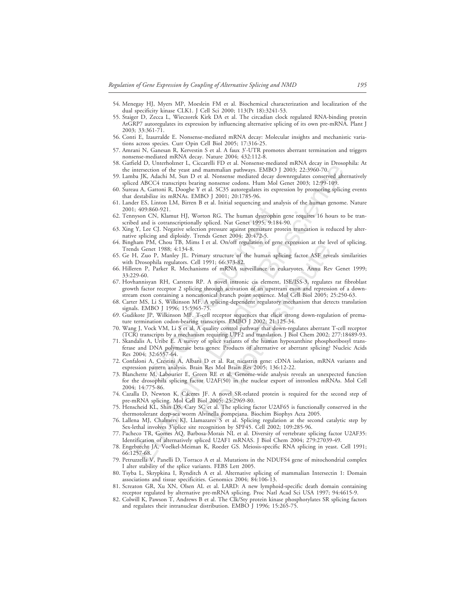- 54. Menegay HJ, Myers MP, Moeslein FM et al. Biochemical characterization and localization of the dual specificity kinase CLK1. J Cell Sci 2000; 113(Pt 18):3241-53.
- 55. Staiger D, Zecca L, Wieczorek Kirk DA et al. The circadian clock regulated RNA-binding protein AtGRP7 autoregulates its expression by influencing alternative splicing of its own pre-mRNA. Plant J 2003; 33:361-71.
- 56. Conti E, Izaurralde E. Nonsense-mediated mRNA decay: Molecular insights and mechanistic variations across species. Curr Opin Cell Biol 2005; 17:316-25.
- 57. Amrani N, Ganesan R, Kervestin S et al. A faux 3'-UTR promotes aberrant termination and triggers nonsense-mediated mRNA decay. Nature 2004; 432:112-8.
- 58. Gatfield D, Unterholzner L, Ciccarelli FD et al. Nonsense-mediated mRNA decay in Drosophila: At the intersection of the yeast and mammalian pathways. EMBO J 2003; 22:3960-70.
- 59. Lamba JK, Adachi M, Sun D et al. Nonsense mediated decay downregulates conserved alternatively spliced ABCC4 transcripts bearing nonsense codons. Hum Mol Genet 2003; 12:99-109.
- 60. Sureau A, Gattoni R, Dooghe Y et al. SC35 autoregulates its expression by promoting splicing events that destabilize its mRNAs. EMBO J 2001; 20:1785-96.
- 61. Lander ES, Linton LM, Birren B et al. Initial sequencing and analysis of the human genome. Nature 2001; 409:860-921.
- 62. Tennyson CN, Klamut HJ, Worton RG. The human dystrophin gene requires 16 hours to be transcribed and is cotranscriptionally spliced. Nat Genet 1995; 9:184-90.
- 63. Xing Y, Lee CJ. Negative selection pressure against premature protein truncation is reduced by alternative splicing and diploidy. Trends Genet 2004; 20:472-5.
- 64. Bingham PM, Chou TB, Mims I et al. On/off regulation of gene expression at the level of splicing. Trends Genet 1988; 4:134-8.
- 65. Ge H, Zuo P, Manley JL. Primary structure of the human splicing factor ASF reveals similarities with Drosophila regulators. Cell 1991; 66:373-82.
- 66. Hilleren P, Parker R. Mechanisms of mRNA surveillance in eukaryotes. Annu Rev Genet 1999; 33:229-60.
- :860-921.<br>
CN, Klamut HJ, Worton RG. The human dystrophilis cortanscriptionally spliced. Nat General 1995; 9:18<br>
is cortanscriptionally spliced. Nat Generature permeter CJ. Negative selection pressure against premature per 67. Hovhannisyan RH, Carstens RP. A novel intronic cis element, ISE/ISS-3, regulates rat fibroblast growth factor receptor 2 splicing through activation of an upstream exon and repression of a downstream exon containing a noncanonical branch point sequence. Mol Cell Biol 2005; 25:250-63.
- 68. Carter MS, Li S, Wilkinson MF. A splicing-dependent regulatory mechanism that detects translation signals. EMBO J 1996; 15:5965-75.
- 69. Gudikote JP, Wilkinson MF. T-cell receptor sequences that elicit strong down-regulation of premature termination codon-bearing transcripts. EMBO J 2002; 21:125-34.
- 70. Wang J, Vock VM, Li S et al. A quality control pathway that down-regulates aberrant T-cell receptor (TCR) transcripts by a mechanism requiring UPF2 and translation. J Biol Chem 2002; 277:18489-93.
- 71. Skandalis A, Uribe E. A survey of splice variants of the human hypoxanthine phosphoribosyl transferase and DNA polymerase beta genes: Products of alternative or aberrant splicing? Nucleic Acids Res 2004; 32:6557-64.
- 72. Confaloni A, Crestini A, Albani D et al. Rat nicastrin gene: cDNA isolation, mRNA variants and expression pattern analysis. Brain Res Mol Brain Res 2005; 136:12-22.
- or consideration and a metallane mathematic method and the section of the section of the section of ALAC (11003, 22.3967-70<br>
at JK. Adachi M, Sam D et al. Nonsema metalsyied decay downres also<br>so another and ARCG transcrip ate at somoth regulation of gene expression at the ready<br>structure of the human splicing factor ASF reversion) at the ready<br>structure of mRNA surveillance in eukaryotes. Annu Rev<br>P. A novel intronic cis element, ISE/ISS-3, 73. Blanchette M, Labourier E, Green RE et al. Genome-wide analysis reveals an unexpected function for the drosophila splicing factor U2AF(50) in the nuclear export of intronless mRNAs. Mol Cell 2004; 14:775-86.
- 74. Cazalla D, Newton K, Cáceres JF. A novel SR-related protein is required for the second step of pre-mRNA splicing. Mol Cell Biol 2005; 25:2969-80.
- 75. Henscheid KL, Shin DS, Cary SC et al. The splicing factor U2AF65 is functionally conserved in the thermotolerant deep-sea worm Alvinella pompejana. Biochim Biophys Acta 2005.
- 76. Lallena MJ, Chalmers KJ, Llamazares S et al. Splicing regulation at the second catalytic step by Sex-lethal involves 3'splice site recognition by SPF45. Cell 2002; 109:285-96.
- 77. Pacheco TR, Gomes AQ, Barbosa-Morais NL et al. Diversity of vertebrate splicing factor U2AF35: Identification of alternatively spliced U2AF1 mRNAS. J Biol Chem 2004; 279:27039-49.
- 78. Engebrecht JA, Voelkel-Meiman K, Roeder GS. Meiosis-specific RNA splicing in yeast. Cell 1991; 66:1257-68.
- 79. Petruzzella V, Panelli D, Torraco A et al. Mutations in the NDUFS4 gene of mitochondrial complex I alter stability of the splice variants. FEBS Lett 2005.
- 80. Tsyba L, Skrypkina I, Rynditch A et al. Alternative splicing of mammalian Intersectin 1: Domain associations and tissue specificities. Genomics 2004; 84:106-13.
- 81. Screaton GR, Xu XN, Olsen AL et al. LARD: A new lymphoid-specific death domain containing receptor regulated by alternative pre-mRNA splicing. Proc Natl Acad Sci USA 1997; 94:4615-9.
- 82. Colwill K, Pawson T, Andrews B et al. The Clk/Sty protein kinase phosphorylates SR splicing factors and regulates their intranuclear distribution. EMBO J 1996; 15:265-75.